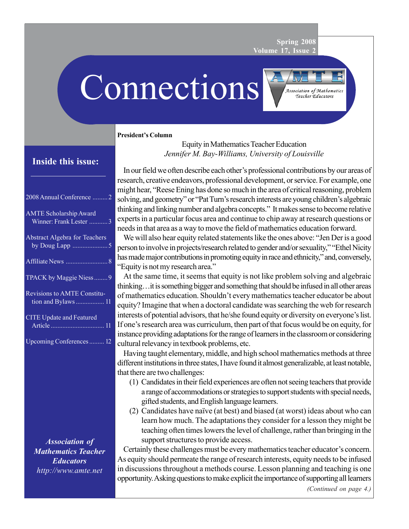**Spring 2008 Volume 17, Issue 2**

Connections



#### **President's Column**

Equity in Mathematics Teacher Education *Jennifer M. Bay-Williams, University of Louisville*

## **Inside this issue:**

| 2008 Annual Conference  2                                |
|----------------------------------------------------------|
| <b>AMTE Scholarship Award</b><br>Winner: Frank Lester 3  |
| <b>Abstract Algebra for Teachers</b>                     |
|                                                          |
| TPACK by Maggie Niess9                                   |
| <b>Revisions to AMTE Constitu-</b><br>tion and Bylaws 11 |
| <b>CITE Update and Featured</b>                          |
| Upcoming Conferences 12                                  |

*Association of Mathematics Teacher Educators http://www.amte.net*

In our field we often describe each other's professional contributions by our areas of research, creative endeavors, professional development, or service. For example, one might hear, "Reese Ening has done so much in the area of critical reasoning, problem solving, and geometry" or "Pat Turn's research interests are young children's algebraic thinking and linking number and algebra concepts." It makes sense to become relative experts in a particular focus area and continue to chip away at research questions or needs in that area as a way to move the field of mathematics education forward.

We will also hear equity related statements like the ones above: "Jen Der is a good person to involve in projects/research related to gender and/or sexuality," "Ethel Nicity has made major contributions in promoting equity in race and ethnicity," and, conversely, "Equity is not my research area."

At the same time, it seems that equity is not like problem solving and algebraic thinking…it is something bigger and something that should be infused in all other areas of mathematics education. Shouldn't every mathematics teacher educator be about equity? Imagine that when a doctoral candidate was searching the web for research interests of potential advisors, that he/she found equity or diversity on everyone's list. If one's research area was curriculum, then part of that focus would be on equity, for instance providing adaptations for the range of learners in the classroom or considering cultural relevancy in textbook problems, etc.

Having taught elementary, middle, and high school mathematics methods at three different institutions in three states, I have found it almost generalizable, at least notable, that there are two challenges:

- (1) Candidates in their field experiences are often not seeing teachers that provide a range of accommodations or strategies to support students with special needs, gifted students, and English language learners.
- (2) Candidates have naïve (at best) and biased (at worst) ideas about who can learn how much. The adaptations they consider for a lesson they might be teaching often times lowers the level of challenge, rather than bringing in the support structures to provide access.

Certainly these challenges must be every mathematics teacher educator's concern. As equity should permeate the range of research interests, equity needs to be infused in discussions throughout a methods course. Lesson planning and teaching is one opportunity. Asking questions to make explicit the importance of supporting all learners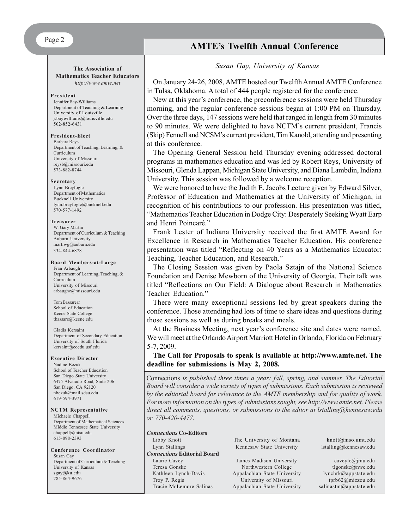## **AMTE's Twelfth Annual Conference**

#### **The Association of Mathematics Teacher Educators**

*http://www.amte.net*

#### **President**

Jennifer Bay-Williams Department of Teaching & Learning University of Louisville j.baywilliams@louisville.edu  $502 - 852 - 6431$ 

#### **President-Elect**

Barbara Reys Department of Teaching, Learning, & Curriculum University of Missouri reysb@missouri.edu 573-882-8744

#### **Secretary**

Lynn Breyfogle Department of Mathematics Bucknell University lynn.breyfogle@bucknell.edu 570-577-1492

#### **Treasurer**

W. Gary Martin Department of Curriculum & Teaching Auburn University martiwg@auburn.edu 334-844-6878

## **Board Members-at-Large**

Fran Arbaugh Department of Learning, Teaching, & Curriculum University of Missouri arbaughe@missouri.edu

#### Tom Bassarear School of Education Keene State College tbassare@keene.edu

Gladis Kersaint Department of Secondary Education University of South Florida kersaint@coedu.usf.edu

#### **Executive Director**

Nadine Bezuk School of Teacher Education San Diego State University 6475 Alvarado Road, Suite 206 San Diego, CA 92120 nbezuk@mail.sdsu.edu 619-594-3971

#### **NCTM Representative**

Michaele Chappell Department of Mathematical Sciences Middle Tennessee State University chappell@mtsu.edu 615-898-2393

#### **Conference Coordinator**

Susan Gay Department of Curriculum & Teaching University of Kansas sgay@ku.edu 785-864-9676

## *Susan Gay, University of Kansas*

On January 24-26, 2008, AMTE hosted our Twelfth Annual AMTE Conference in Tulsa, Oklahoma. A total of 444 people registered for the conference.

New at this year's conference, the preconference sessions were held Thursday morning, and the regular conference sessions began at 1:00 PM on Thursday. Over the three days, 147 sessions were held that ranged in length from 30 minutes to 90 minutes. We were delighted to have NCTM's current president, Francis (Skip) Fennell and NCSM's current president, Tim Kanold, attending and presenting at this conference.

The Opening General Session held Thursday evening addressed doctoral programs in mathematics education and was led by Robert Reys, University of Missouri, Glenda Lappan, Michigan State University, and Diana Lambdin, Indiana University. This session was followed by a welcome reception.

We were honored to have the Judith E. Jacobs Lecture given by Edward Silver, Professor of Education and Mathematics at the University of Michigan, in recognition of his contributions to our profession. His presentation was titled, "Mathematics Teacher Education in Dodge City: Desperately Seeking Wyatt Earp and Henri Poincaré."

Frank Lester of Indiana University received the first AMTE Award for Excellence in Research in Mathematics Teacher Education. His conference presentation was titled "Reflecting on 40 Years as a Mathematics Educator: Teaching, Teacher Education, and Research."

The Closing Session was given by Paola Sztajn of the National Science Foundation and Denise Mewborn of the University of Georgia. Their talk was titled "Reflections on Our Field: A Dialogue about Research in Mathematics Teacher Education."

There were many exceptional sessions led by great speakers during the conference. Those attending had lots of time to share ideas and questions during those sessions as well as during breaks and meals.

At the Business Meeting, next year's conference site and dates were named. We will meet at the Orlando Airport Marriott Hotel in Orlando, Florida on February 5-7, 2009.

**The Call for Proposals to speak is available at http://www.amte.net. The deadline for submissions is May 2, 2008.**

Connections *is published three times a year: fall, spring, and summer. The Editorial Board will consider a wide variety of types of submissions. Each submission is reviewed by the editorial board for relevance to the AMTE membership and for quality of work. For more information on the types of submissions sought, see http://www.amte.net. Please direct all comments, questions, or submissions to the editor at lstalling@kennesaw.edu or 770-420-4477.*

#### *Connections* **Co-Editors**

Lynn Stallings **Kennesaw State University** lstalling@kennesaw.edu *Connections* **Editorial Board** Laurie Cavey James Madison University caveylo@jmu.edu Teresa Gonske Northwestern College tlgonske@nwc.edu Kathleen Lynch-Davis Appalachian State University lynchrk@appstate.edu Troy P. Regis University of Missouri tprb62@mizzou.edu Tracie McLemore Salinas Appalachian State University salinastm@appstate.edu

Libby Knott The University of Montana knott@mso.umt.edu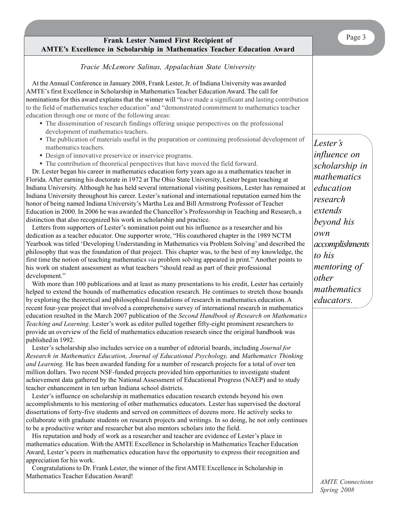## **Frank Lester Named First Recipient of Page 3 AMTE's Excellence in Scholarship in Mathematics Teacher Education Award**

## *Tracie McLemore Salinas, Appalachian State University*

At the Annual Conference in January 2008, Frank Lester, Jr. of Indiana University was awarded AMTE's first Excellence in Scholarship in Mathematics Teacher Education Award. The call for nominations for this award explains that the winner will "have made a significant and lasting contribution to the field of mathematics teacher education" and "demonstrated commitment to mathematics teacher education through one or more of the following areas:

- The dissemination of research findings offering unique perspectives on the professional development of mathematics teachers.
- The publication of materials useful in the preparation or continuing professional development of mathematics teachers.
- Design of innovative preservice or inservice programs.
- The contribution of theoretical perspectives that have moved the field forward.

Dr. Lester began his career in mathematics education forty years ago as a mathematics teacher in Florida. After earning his doctorate in 1972 at The Ohio State University, Lester began teaching at Indiana University. Although he has held several international visiting positions, Lester has remained at Indiana University throughout his career. Lester's national and international reputation earned him the honor of being named Indiana University's Martha Lea and Bill Armstrong Professor of Teacher Education in 2000. In 2006 he was awarded the Chancellor's Professorship in Teaching and Research, a distinction that also recognized his work in scholarship and practice.

Letters from supporters of Lester's nomination point out his influence as a researcher and his dedication as a teacher educator. One supporter wrote, "His coauthored chapter in the 1989 NCTM Yearbook was titled 'Developing Understanding in Mathematics via Problem Solving' and described the philosophy that was the foundation of that project. This chapter was, to the best of my knowledge, the first time the notion of teaching mathematics *via* problem solving appeared in print." Another points to his work on student assessment as what teachers "should read as part of their professional development."

With more than 100 publications and at least as many presentations to his credit, Lester has certainly helped to extend the bounds of mathematics education research. He continues to stretch those bounds by exploring the theoretical and philosophical foundations of research in mathematics education. A recent four-year project that involved a comprehensive survey of international research in mathematics education resulted in the March 2007 publication of the *Second Handbook of Research on Mathematics Teaching and Learning*. Lester's work as editor pulled together fifty-eight prominent researchers to provide an overview of the field of mathematics education research since the original handbook was published in 1992.

Lester's scholarship also includes service on a number of editorial boards, including *Journal for Research in Mathematics Education, Journal of Educational Psychology,* and *Mathematics Thinking and Learning.* He has been awarded funding for a number of research projects for a total of over ten million dollars. Two recent NSF-funded projects provided him opportunities to investigate student achievement data gathered by the National Assessment of Educational Progress (NAEP) and to study teacher enhancement in ten urban Indiana school districts.

Lester's influence on scholarship in mathematics education research extends beyond his own accomplishments to his mentoring of other mathematics educators. Lester has supervised the doctoral dissertations of forty-five students and served on committees of dozens more. He actively seeks to collaborate with graduate students on research projects and writings. In so doing, he not only continues to be a productive writer and researcher but also mentors scholars into the field.

His reputation and body of work as a researcher and teacher are evidence of Lester's place in mathematics education. With the AMTE Excellence in Scholarship in Mathematics Teacher Education Award, Lester's peers in mathematics education have the opportunity to express their recognition and appreciation for his work.

Congratulations to Dr. Frank Lester, the winner of the first AMTE Excellence in Scholarship in Mathematics Teacher Education Award!

*Lester's influence on scholarship in mathematics education research extends beyond his own accomplishments to his mentoring of other mathematics educators.*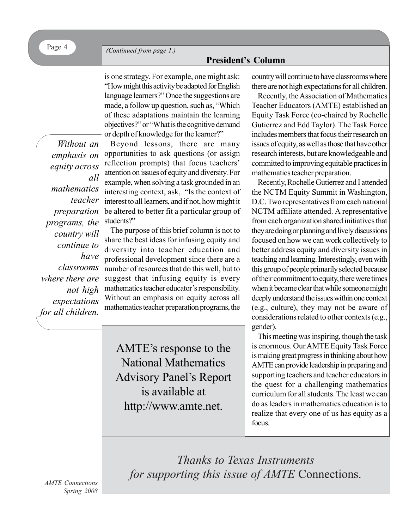## **President's Column**

is one strategy. For example, one might ask: "How might this activity be adapted for English language learners?" Once the suggestions are made, a follow up question, such as, "Which of these adaptations maintain the learning objectives?" or "What is the cognitive demand or depth of knowledge for the learner?"

*Without an emphasis on equity across all mathematics teacher preparation programs, the country will continue to have classrooms where there are not high expectations for all children.*

Beyond lessons, there are many opportunities to ask questions (or assign reflection prompts) that focus teachers' attention on issues of equity and diversity. For example, when solving a task grounded in an interesting context, ask, "Is the context of interest to all learners, and if not, how might it be altered to better fit a particular group of students?"

The purpose of this brief column is not to share the best ideas for infusing equity and diversity into teacher education and professional development since there are a number of resources that do this well, but to suggest that infusing equity is every mathematics teacher educator's responsibility. Without an emphasis on equity across all mathematics teacher preparation programs, the

AMTE's response to the National Mathematics Advisory Panel's Report is available at http://www.amte.net.

country will continue to have classrooms where there are not high expectations for all children.

Recently, the Association of Mathematics Teacher Educators (AMTE) established an Equity Task Force (co-chaired by Rochelle Gutierrez and Edd Taylor). The Task Force includes members that focus their research on issues of equity, as well as those that have other research interests, but are knowledgeable and committed to improving equitable practices in mathematics teacher preparation.

Recently, Rochelle Gutierrez and I attended the NCTM Equity Summit in Washington, D.C. Two representatives from each national NCTM affiliate attended. A representative from each organization shared initiatives that they are doing or planning and lively discussions focused on how we can work collectively to better address equity and diversity issues in teaching and learning. Interestingly, even with this group of people primarily selected because of their commitment to equity, there were times when it became clear that while someone might deeply understand the issues within one context (e.g., culture), they may not be aware of considerations related to other contexts (e.g., gender).

This meeting was inspiring, though the task is enormous. Our AMTE Equity Task Force is making great progress in thinking about how AMTE can provide leadership in preparing and supporting teachers and teacher educators in the quest for a challenging mathematics curriculum for all students. The least we can do as leaders in mathematics education is to realize that every one of us has equity as a focus.

*Thanks to Texas Instruments for supporting this issue of AMTE* Connections.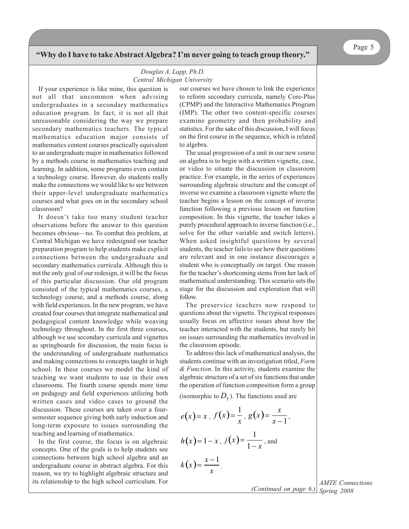## **"Why do I have to take Abstract Algebra? I'm never going to teach group theory."**

## *Douglas A. Lapp, Ph.D. Central Michigan University*

If your experience is like mine, this question is not all that uncommon when advising undergraduates in a secondary mathematics education program. In fact, it is not all that unreasonable considering the way we prepare secondary mathematics teachers. The typical mathematics education major consists of mathematics content courses practically equivalent to an undergraduate major in mathematics followed by a methods course in mathematics teaching and learning. In addition, some programs even contain a technology course. However, do students really make the connections we would like to see between their upper-level undergraduate mathematics courses and what goes on in the secondary school classroom?

It doesn't take too many student teacher observations before the answer to this question becomes obvious—no. To combat this problem, at Central Michigan we have redesigned our teacher preparation program to help students make explicit connections between the undergraduate and secondary mathematics curricula. Although this is not the only goal of our redesign, it will be the focus of this particular discussion. Our old program consisted of the typical mathematics courses, a technology course, and a methods course, along with field experiences. In the new program, we have created four courses that integrate mathematical and pedagogical content knowledge while weaving technology throughout. In the first three courses, although we use secondary curricula and vignettes as springboards for discussion, the main focus is the understanding of undergraduate mathematics and making connections to concepts taught in high school. In these courses we model the kind of teaching we want students to use in their own classrooms. The fourth course spends more time on pedagogy and field experiences utilizing both written cases and video cases to ground the discussion. These courses are taken over a foursemester sequence giving both early induction and long-term exposure to issues surrounding the teaching and learning of mathematics.

In the first course, the focus is on algebraic concepts. One of the goals is to help students see connections between high school algebra and an undergraduate course in abstract algebra. For this reason, we try to highlight algebraic structure and its relationship to the high school curriculum. For

our courses we have chosen to link the experience to reform secondary curricula, namely Core-Plus (CPMP) and the Interactive Mathematics Program (IMP). The other two content-specific courses examine geometry and then probability and statistics. For the sake of this discussion, I will focus on the first course in the sequence, which is related to algebra.

The usual progression of a unit in our new course on algebra is to begin with a written vignette, case, or video to situate the discussion in classroom practice. For example, in the series of experiences surrounding algebraic structure and the concept of inverse we examine a classroom vignette where the teacher begins a lesson on the concept of inverse function following a previous lesson on function composition. In this vignette, the teacher takes a purely procedural approach to inverse function (i.e., solve for the other variable and switch letters). When asked insightful questions by several students, the teacher fails to see how their questions are relevant and in one instance discourages a student who is conceptually on target. One reason for the teacher's shortcoming stems from her lack of mathematical understanding. This scenario sets the stage for the discussion and exploration that will follow.

The preservice teachers now respond to questions about the vignette. The typical responses usually focus on affective issues about how the teacher interacted with the students, but rarely hit on issues surrounding the mathematics involved in the classroom episode.

To address this lack of mathematical analysis, the students continue with an investigation titled, *Form & Function*. In this activity, students examine the algebraic structure of a set of six functions that under the operation of function composition form a group

(isomorphic to  $D_3$ ). The functions used are

$$
e(x) = x, f(x) = \frac{1}{x}, g(x) = \frac{x}{x-1},
$$
  

$$
h(x) = 1-x, j(x) = \frac{1}{1-x}, \text{ and}
$$
  

$$
k(x) = \frac{x-1}{x}.
$$

*AMTE Connections Spring 2008 (Continued on page 6.)*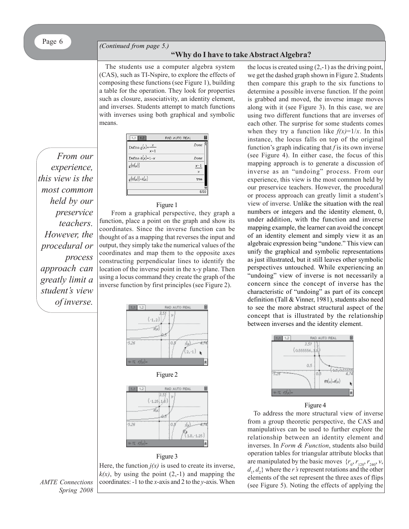*(Continued from page 5.)*

## **Call for Proposals for 2008 Annual Conference "Why do I have to take Abstract Algebra?**

The students use a computer algebra system (CAS), such as TI-Nspire, to explore the effects of composing these functions (see Figure 1), building a table for the operation. They look for properties such as closure, associativity, an identity element, and inverses. Students attempt to match functions with inverses using both graphical and symbolic means.

*From our experience, this view is the most common held by our preservice teachers. However, the procedural or process approach can greatly limit a student's view of inverse.*

| 1.2<br>$1.1 -$                | RAD AUTO REAL |           |
|-------------------------------|---------------|-----------|
| Define $g(x) = \frac{x}{x-1}$ |               | Done      |
| Define $h(x)=1-x$             |               | Done      |
| g(h(x))                       |               | $x-1$     |
|                               |               | $\bar{x}$ |
| $g(h(x)) = k(x)$              |               | true      |
|                               |               |           |
|                               |               | 8/99      |

#### Figure 1

From a graphical perspective, they graph a function, place a point on the graph and show its coordinates. Since the inverse function can be thought of as a mapping that reverses the input and output, they simply take the numerical values of the coordinates and map them to the opposite axes constructing perpendicular lines to identify the location of the inverse point in the x-y plane. Then using a locus command they create the graph of the inverse function by first principles (see Figure 2).







#### Figure 3

Here, the function  $j(x)$  is used to create its inverse,  $k(x)$ , by using the point  $(2, -1)$  and mapping the coordinates: -1 to the *x*-axis and 2 to the *y*-axis. When

the locus is created using  $(2,-1)$  as the driving point, we get the dashed graph shown in Figure 2. Students then compare this graph to the six functions to determine a possible inverse function. If the point is grabbed and moved, the inverse image moves along with it (see Figure 3). In this case, we are using two different functions that are inverses of each other. The surprise for some students comes when they try a function like  $f(x)=1/x$ . In this instance, the locus falls on top of the original function's graph indicating that *f* is its own inverse (see Figure 4). In either case, the focus of this mapping approach is to generate a discussion of inverse as an "undoing" process. From our experience, this view is the most common held by our preservice teachers. However, the procedural or process approach can greatly limit a student's view of inverse. Unlike the situation with the real numbers or integers and the identity element, 0, under addition, with the function and inverse mapping example, the learner can avoid the concept of an identity element and simply view it as an algebraic expression being "undone." This view can unify the graphical and symbolic representations as just illustrated, but it still leaves other symbolic perspectives untouched. While experiencing an "undoing" view of inverse is not necessarily a concern since the concept of inverse has the characteristic of "undoing" as part of its concept definition (Tall & Vinner, 1981), students also need to see the more abstract structural aspect of the concept that is illustrated by the relationship between inverses and the identity element.



#### Figure 4

To address the more structural view of inverse from a group theoretic perspective, the CAS and manipulatives can be used to further explore the relationship between an identity element and inverses. In *Form & Function*, students also build operation tables for triangular attribute blocks that are manipulated by the basic moves  $\{r_0, r_{120}, r_{240}, v,$  $d_1, d_2$  where the *r's* represent rotations and the other elements of the set represent the three axes of flips (see Figure 5). Noting the effects of applying the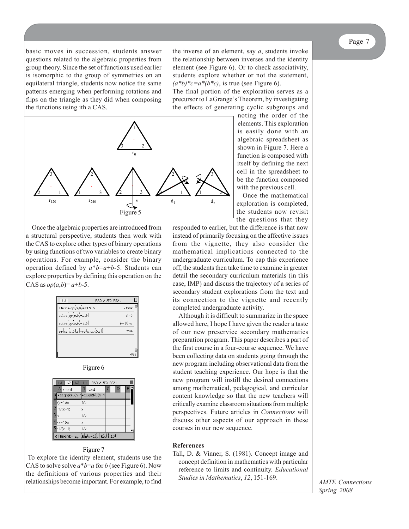basic moves in succession, students answer questions related to the algebraic properties from group theory. Since the set of functions used earlier is isomorphic to the group of symmetries on an equilateral triangle, students now notice the same patterns emerging when performing rotations and flips on the triangle as they did when composing the functions using ith a CAS.



Once the algebraic properties are introduced from a structural perspective, students then work with the CAS to explore other types of binary operations by using functions of two variables to create binary operations. For example, consider the binary operation defined by *a*\**b*=*a*+*b*-5. Students can explore properties by defining this operation on the CAS as  $op(a,b)=a+b-5$ .

| 1.1<br>RAD AUTO REAL              |              |
|-----------------------------------|--------------|
| Define $op(a,b)=a+b-5$            | Done.        |
| $_{\text{solve}(op(a,b)=a,b)}$    | $b=5$        |
| solve $\left( op(a,b)=5,b\right)$ | $b = 10 - a$ |
| $op(op(a,b),c) = op(a,op(b,c))$   | true         |
|                                   |              |
|                                   |              |
|                                   |              |



| $1.2$ 1.3 1.4<br>1.1                                                   |     | RAD AUTO REAL |  |   |   |
|------------------------------------------------------------------------|-----|---------------|--|---|---|
| Α<br> ksord                                                            | В   | Ísord         |  | n | F |
| =segn(k(u(n-1=segn(f(u(n-1                                             |     |               |  |   |   |
| М<br>$(x-1)/x$                                                         | 1/x |               |  |   |   |
| $2 - 1/(x-1)$                                                          | ΙX  |               |  |   |   |
| ß<br>Ιx                                                                | 1/x |               |  |   |   |
| $4(x-1)/x$                                                             | X   |               |  |   |   |
| $\overline{5}$ -1/(x-1)                                                | 1/x |               |  |   |   |
| $ A $ ksord:=segn $\left(\mathbf{k}(u(n-1)), \mathbf{k}(x)\right)$ ,10 |     |               |  |   |   |

#### Figure 7

 To explore the identity element, students use the CAS to solve solve *a*\**b*=*a* for *b* (see Figure 6). Now the definitions of various properties and their relationships become important. For example, to find

the inverse of an element, say *a*, students invoke the relationship between inverses and the identity element (see Figure 6). Or to check associativity, students explore whether or not the statement,  $(a*b)*c=a*(b*c)$ , is true (see Figure 6).

The final portion of the exploration serves as a precursor to LaGrange's Theorem, by investigating the effects of generating cyclic subgroups and

> noting the order of the elements. This exploration is easily done with an algebraic spreadsheet as shown in Figure 7. Here a function is composed with itself by defining the next cell in the spreadsheet to be the function composed with the previous cell.

Once the mathematical exploration is completed, the students now revisit the questions that they

responded to earlier, but the difference is that now instead of primarily focusing on the affective issues from the vignette, they also consider the mathematical implications connected to the undergraduate curriculum. To cap this experience off, the students then take time to examine in greater detail the secondary curriculum materials (in this case, IMP) and discuss the trajectory of a series of secondary student explorations from the text and its connection to the vignette and recently completed undergraduate activity.

Although it is difficult to summarize in the space allowed here, I hope I have given the reader a taste of our new preservice secondary mathematics preparation program. This paper describes a part of the first course in a four-course sequence. We have been collecting data on students going through the new program including observational data from the student teaching experience. Our hope is that the new program will instill the desired connections among mathematical, pedagogical, and curricular content knowledge so that the new teachers will critically examine classroom situations from multiple perspectives. Future articles in *Connections* will discuss other aspects of our approach in these courses in our new sequence.

#### **References**

Tall, D. & Vinner, S. (1981). Concept image and concept definition in mathematics with particular reference to limits and continuity. *Educational Studies in Mathematics*, *12*, 151-169.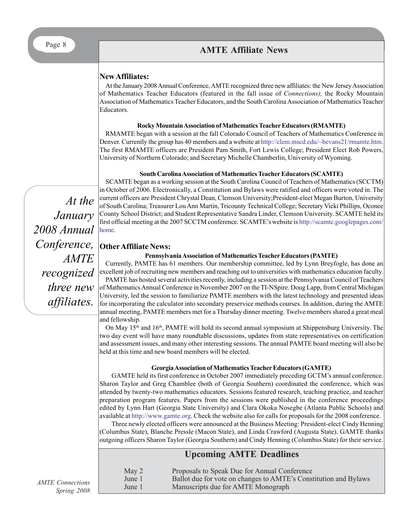## **New Affiliates:**

At the January 2008 Annual Conference, AMTE recognized three new affiliates: the New Jersey Association of Mathematics Teacher Educators (featured in the fall issue of *Connections),* the Rocky Mountain Association of Mathematics Teacher Educators, and the South Carolina Association of Mathematics Teacher Educators.

#### **Rocky Mountain Association of Mathematics Teacher Educators (RMAMTE)**

RMAMTE began with a session at the fall Colorado Council of Teachers of Mathematics Conference in Denver. Currently the group has 40 members and a website at http://clem.mscd.edu/~bevans21/rmamte.htm. The first RMAMTE officers are President Pam Smith, Fort Lewis College; President Elect Rob Powers, University of Northern Colorado; and Secretary Michelle Chamberlin, University of Wyoming.

### **South Carolina Association of Mathematics Teacher Educators (SCAMTE)**

SCAMTE began as a working session at the South Carolina Council of Teachers of Mathematics (SCCTM) in October of 2006. Electronically, a Constitution and Bylaws were ratified and officers were voted in. The current officers are President Chrystal Dean, Clemson University;President-elect Megan Burton, University of South Carolina; Treasurer Lou Ann Martin, Tricounty Technical College; Secretary Vicki Phillips, Oconee County School District; and Student Representative Sandra Linder, Clemson University. SCAMTE held its first official meeting at the 2007 SCCTM conference. SCAMTE's website is http://scamte.googlepages.com/ home.

## **Other Affiliate News:**

#### **Pennsylvania Association of Mathematics Teacher Educators (PAMTE)**

Currently, PAMTE has 61 members. Our membership committee, led by Lynn Breyfogle, has done an excellent job of recruiting new members and reaching out to universities with mathematics education faculty. PAMTE has hosted several activities recently, including a session at the Pennsylvania Council of Teachers of Mathematics Annual Conference in November 2007 on the TI-NSpire. Doug Lapp, from Central Michigan University, led the session to familiarize PAMTE members with the latest technology and presented ideas for incorporating the calculator into secondary preservice methods courses. In addition, during the AMTE annual meeting, PAMTE members met for a Thursday dinner meeting. Twelve members shared a great meal and fellowship.

On May  $15<sup>th</sup>$  and  $16<sup>th</sup>$ , PAMTE will hold its second annual symposium at Shippensburg University. The two day event will have many roundtable discussions, updates from state representatives on certification and assessment issues, and many other interesting sessions. The annual PAMTE board meeting will also be held at this time and new board members will be elected.

#### **Georgia Association of Mathematics Teacher Educators (GAMTE)**

GAMTE held its first conference in October 2007 immediately preceding GCTM's annual conference. Sharon Taylor and Greg Chamblee (both of Georgia Southern) coordinated the conference, which was attended by twenty-two mathematics educators. Sessions featured research, teaching practice, and teacher preparation program features. Papers from the sessions were published in the conference proceedings edited by Lynn Hart (Georgia State University) and Clara Okoka Nosegbe (Atlanta Public Schools) and available at http://www.gamte.org. Check the website also for calls for proposals for the 2008 conference.

Three newly elected officers were announced at the Business Meeting: President-elect Cindy Henning (Columbus State), Blanche Pressle (Macon State), and Linda Crawford (Augusta State). GAMTE thanks outgoing officers Sharon Taylor (Georgia Southern) and Cindy Henning (Columbus State) for their service.

## **Upcoming AMTE Deadlines**

May 2 Proposals to Speak Due for Annual Conference June 1 Ballot due for vote on changes to AMTE's Constitution and Bylaws June 1 Manuscripts due for AMTE Monograph

*At the January 2008 Annual Conference, AMTE recognized three new affiliates.*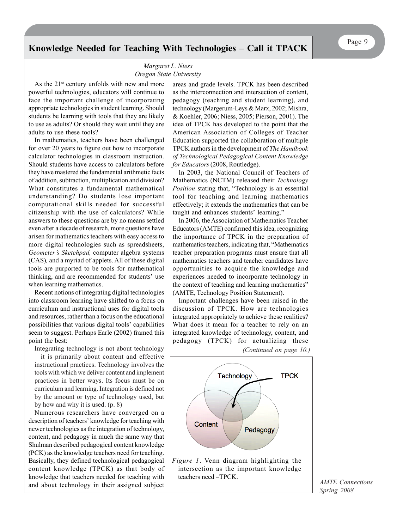## **Knowledge Needed for Teaching With Technologies – Call it TPACK**

#### *Margaret L. Niess Oregon State University*

As the  $21^{st}$  century unfolds with new and more powerful technologies, educators will continue to face the important challenge of incorporating appropriate technologies in student learning. Should students be learning with tools that they are likely to use as adults? Or should they wait until they are adults to use these tools?

In mathematics, teachers have been challenged for over 20 years to figure out how to incorporate calculator technologies in classroom instruction. Should students have access to calculators before they have mastered the fundamental arithmetic facts of addition, subtraction, multiplication and division? What constitutes a fundamental mathematical understanding? Do students lose important computational skills needed for successful citizenship with the use of calculators? While answers to these questions are by no means settled even after a decade of research, more questions have arisen for mathematics teachers with easy access to more digital technologies such as spreadsheets, *Geometer's Sketchpad,* computer algebra systems (CAS)*,* and a myriad of applets. All of these digital tools are purported to be tools for mathematical thinking, and are recommended for students' use when learning mathematics.

Recent notions of integrating digital technologies into classroom learning have shifted to a focus on curriculum and instructional uses for digital tools and resources, rather than a focus on the educational possibilities that various digital tools' capabilities seem to suggest. Perhaps Earle (2002) framed this point the best:

Integrating technology is not about technology – it is primarily about content and effective instructional practices. Technology involves the tools with which we deliver content and implement practices in better ways. Its focus must be on curriculum and learning. Integration is defined not by the amount or type of technology used, but by how and why it is used. (p. 8)

Numerous researchers have converged on a description of teachers' knowledge for teaching with newer technologies as the integration of technology, content, and pedagogy in much the same way that Shulman described pedagogical content knowledge (PCK) as the knowledge teachers need for teaching. Basically, they defined technological pedagogical content knowledge (TPCK) as that body of knowledge that teachers needed for teaching with and about technology in their assigned subject

areas and grade levels. TPCK has been described as the interconnection and intersection of content, pedagogy (teaching and student learning), and technology (Margerum-Leys & Marx, 2002; Mishra, & Koehler, 2006; Niess, 2005; Pierson, 2001). The idea of TPCK has developed to the point that the American Association of Colleges of Teacher Education supported the collaboration of multiple TPCK authors in the development of *The Handbook of Technological Pedagogical Content Knowledge for Educators* (2008, Routledge).

In 2003, the National Council of Teachers of Mathematics (NCTM) released their *Technology Position* stating that, "Technology is an essential tool for teaching and learning mathematics effectively; it extends the mathematics that can be taught and enhances students' learning."

In 2006, the Association of Mathematics Teacher Educators (AMTE) confirmed this idea, recognizing the importance of TPCK in the preparation of mathematics teachers, indicating that, "Mathematics teacher preparation programs must ensure that all mathematics teachers and teacher candidates have opportunities to acquire the knowledge and experiences needed to incorporate technology in the context of teaching and learning mathematics" (AMTE, Technology Position Statement).

Important challenges have been raised in the discussion of TPCK. How are technologies integrated appropriately to achieve these realities? What does it mean for a teacher to rely on an integrated knowledge of technology, content, and pedagogy (TPCK) for actualizing these



*Figure 1*. Venn diagram highlighting the intersection as the important knowledge teachers need –TPCK.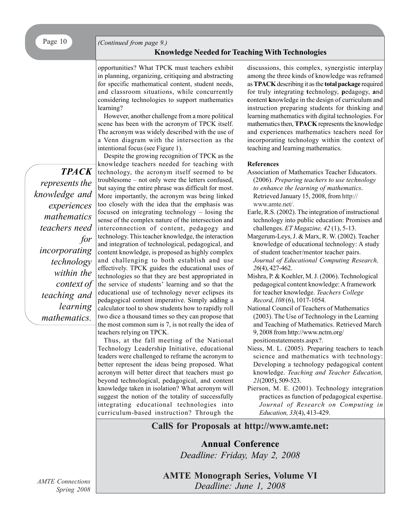## **Knowledge Needed for Teaching With Technologies**

opportunities? What TPCK must teachers exhibit in planning, organizing, critiquing and abstracting for specific mathematical content, student needs, and classroom situations, while concurrently considering technologies to support mathematics learning?

However, another challenge from a more political scene has been with the acronym of TPCK itself. The acronym was widely described with the use of a Venn diagram with the intersection as the intentional focus (see Figure 1).

*TPACK represents the knowledge and experiences mathematics teachers need for incorporating technology within the context of teaching and learning mathematics.*

Despite the growing recognition of TPCK as the knowledge teachers needed for teaching with technology, the acronym itself seemed to be troublesome – not only were the letters confused, but saying the entire phrase was difficult for most. More importantly, the acronym was being linked too closely with the idea that the emphasis was focused on integrating technology – losing the sense of the complex nature of the intersection and interconnection of content, pedagogy and technology. This teacher knowledge, the interaction and integration of technological, pedagogical, and content knowledge, is proposed as highly complex and challenging to both establish and use effectively. TPCK guides the educational uses of technologies so that they are best appropriated in the service of students' learning and so that the educational use of technology never eclipses its pedagogical content imperative. Simply adding a calculator tool to show students how to rapidly roll two dice a thousand times so they can propose that the most common sum is 7, is not really the idea of teachers relying on TPCK.

Thus, at the fall meeting of the National Technology Leadership Initiative, educational leaders were challenged to reframe the acronym to better represent the ideas being proposed. What acronym will better direct that teachers must go beyond technological, pedagogical, and content knowledge taken in isolation? What acronym will suggest the notion of the totality of successfully integrating educational technologies into curriculum-based instruction? Through the discussions, this complex, synergistic interplay among the three kinds of knowledge was reframed as **TPACK** describing it as the **total package** required for truly integrating **t**echnology, **p**edagogy, **a**nd **c**ontent **k**nowledge in the design of curriculum and instruction preparing students for thinking and learning mathematics with digital technologies. For mathematics then, **TPACK** represents the knowledge and experiences mathematics teachers need for incorporating technology within the context of teaching and learning mathematics.

#### **References**

- Association of Mathematics Teacher Educators. (2006). *Preparing teachers to use technology to enhance the learning of mathematics*. Retrieved January 15, 2008, from http:// www.amte.net/.
- Earle, R.S. (2002). The integration of instructional technology into public education: Promises and challenges. *ET Magazine, 42* (1), 5-13.
- Margerum-Leys, J. & Marx, R. W. (2002). Teacher knowledge of educational technology: A study of student teacher/mentor teacher pairs. *Journal of Educational Computing Research, 26*(4), 427-462.
- Mishra, P. & Koehler, M. J. (2006). Technological pedagogical content knowledge: A framework for teacher knowledge. *Teachers College Record*, *108* (6), 1017-1054.
- National Council of Teachers of Mathematics (2003). The Use of Technology in the Learning and Teaching of Mathematics. Retrieved March 9, 2008 from http://www.nctm.org/ positionstatements.aspx?.
- Niess, M. L. (2005). Preparing teachers to teach science and mathematics with technology: Developing a technology pedagogical content knowledge. *Teaching and Teacher Education, 21*(2005), 509-523.
- Pierson, M. E. (2001). Technology integration practices as function of pedagogical expertise. *Journal of Research on Computing in Education, 33*(4), 413-429.

## **CallS for Proposals at http://www.amte.net:**

## **Annual Conference** *Deadline: Friday, May 2, 2008*

**AMTE Monograph Series, Volume VI** *Deadline: June 1, 2008*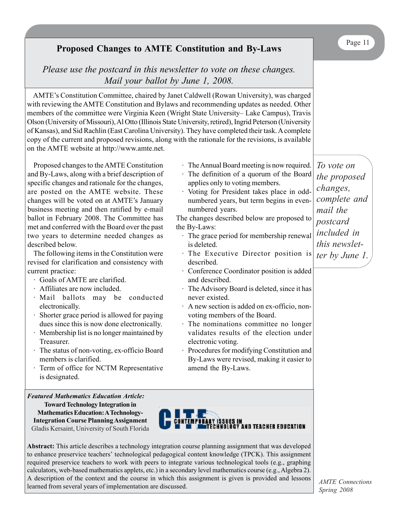# **Proposed Changes to AMTE Constitution and By-Laws**

## *Please use the postcard in this newsletter to vote on these changes. Mail your ballot by June 1, 2008.*

AMTE's Constitution Committee, chaired by Janet Caldwell (Rowan University), was charged with reviewing the AMTE Constitution and Bylaws and recommending updates as needed. Other members of the committee were Virginia Keen (Wright State University– Lake Campus), Travis Olson (University of Missouri), Al Otto (Illinois State University, retired), Ingrid Peterson (University of Kansas), and Sid Rachlin (East Carolina University). They have completed their task. A complete copy of the current and proposed revisions, along with the rationale for the revisions, is available on the AMTE website at http://www.amte.net.

Proposed changes to the AMTE Constitution and By-Laws, along with a brief description of specific changes and rationale for the changes, are posted on the AMTE website. These changes will be voted on at AMTE's January business meeting and then ratified by e-mail ballot in February 2008. The Committee has met and conferred with the Board over the past two years to determine needed changes as described below.

The following items in the Constitution were revised for clarification and consistency with current practice:

- · Goals of AMTE are clarified.
- · Affiliates are now included.
- · Mail ballots may be conducted electronically.
- Shorter grace period is allowed for paying dues since this is now done electronically.
- Membership list is no longer maintained by Treasurer.
- · The status of non-voting, ex-officio Board members is clarified.
- Term of office for NCTM Representative is designated.

*Featured Mathematics Education Article:* **Toward Technology Integration in Mathematics Education: A Technology-Integration Course Planning Assignment** Gladis Kersaint, University of South Florida



· The Annual Board meeting is now required. · The definition of a quorum of the Board

Voting for President takes place in oddnumbered years, but term begins in even-

The changes described below are proposed to

· The grace period for membership renewal

· The Executive Director position is

· Conference Coordinator position is added

· The Advisory Board is deleted, since it has

· A new section is added on ex-officio, non-

The nominations committee no longer validates results of the election under

· Procedures for modifying Constitution and By-Laws were revised, making it easier to

voting members of the Board.

applies only to voting members.

numbered years.

the By-Laws:

is deleted.

described.

and described.

never existed.

electronic voting.

amend the By-Laws.

**Abstract:** This article describes a technology integration course planning assignment that was developed to enhance preservice teachers' technological pedagogical content knowledge (TPCK). This assignment required preservice teachers to work with peers to integrate various technological tools (e.g., graphing calculators, web-based mathematics applets, etc.) in a secondary level mathematics course (e.g., Algebra 2). A description of the context and the course in which this assignment is given is provided and lessons learned from several years of implementation are discussed.

*To vote on the proposed changes, complete and mail the postcard included in this newsletter by June 1.*